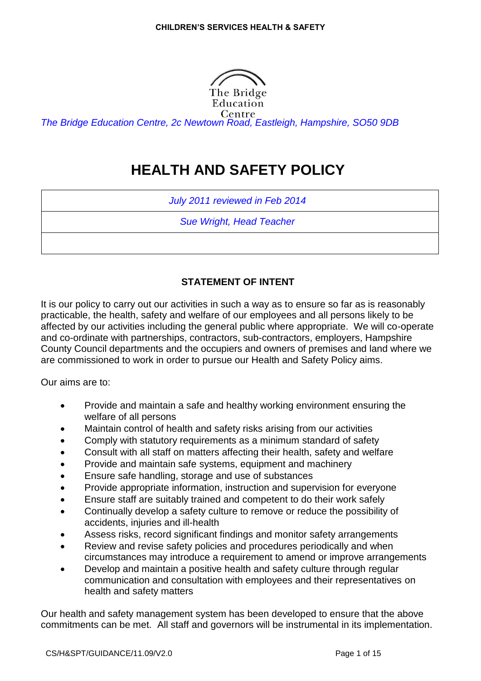

*The Bridge Education Centre, 2c Newtown Road, Eastleigh, Hampshire, SO50 9DB*

# **HEALTH AND SAFETY POLICY**

*July 2011 reviewed in Feb 2014*

*Sue Wright, Head Teacher*

# **STATEMENT OF INTENT**

It is our policy to carry out our activities in such a way as to ensure so far as is reasonably practicable, the health, safety and welfare of our employees and all persons likely to be affected by our activities including the general public where appropriate. We will co-operate and co-ordinate with partnerships, contractors, sub-contractors, employers, Hampshire County Council departments and the occupiers and owners of premises and land where we are commissioned to work in order to pursue our Health and Safety Policy aims.

Our aims are to:

- Provide and maintain a safe and healthy working environment ensuring the welfare of all persons
- Maintain control of health and safety risks arising from our activities
- Comply with statutory requirements as a minimum standard of safety
- Consult with all staff on matters affecting their health, safety and welfare
- Provide and maintain safe systems, equipment and machinery
- Ensure safe handling, storage and use of substances
- Provide appropriate information, instruction and supervision for everyone
- Ensure staff are suitably trained and competent to do their work safely
- Continually develop a safety culture to remove or reduce the possibility of accidents, injuries and ill-health
- Assess risks, record significant findings and monitor safety arrangements
- Review and revise safety policies and procedures periodically and when circumstances may introduce a requirement to amend or improve arrangements
- Develop and maintain a positive health and safety culture through regular communication and consultation with employees and their representatives on health and safety matters

Our health and safety management system has been developed to ensure that the above commitments can be met. All staff and governors will be instrumental in its implementation.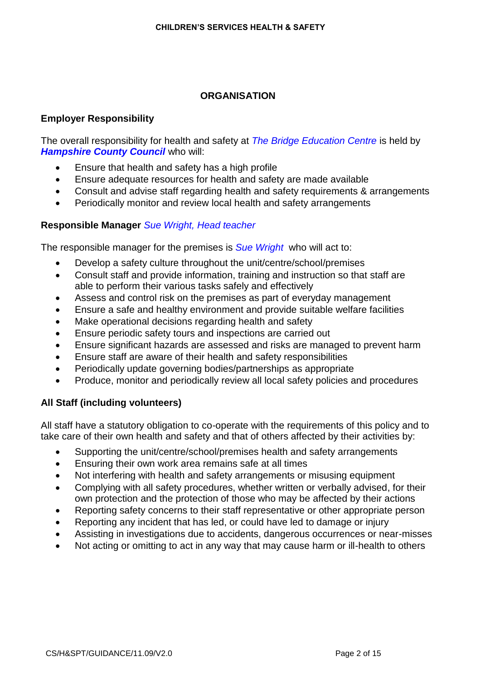# **ORGANISATION**

# **Employer Responsibility**

The overall responsibility for health and safety at *The Bridge Education Centre* is held by **Hampshire County Council who will:** 

- Ensure that health and safety has a high profile
- Ensure adequate resources for health and safety are made available
- Consult and advise staff regarding health and safety requirements & arrangements
- Periodically monitor and review local health and safety arrangements

# **Responsible Manager** *Sue Wright, Head teacher*

The responsible manager for the premises is *Sue Wright* who will act to:

- Develop a safety culture throughout the unit/centre/school/premises
- Consult staff and provide information, training and instruction so that staff are able to perform their various tasks safely and effectively
- Assess and control risk on the premises as part of everyday management
- Ensure a safe and healthy environment and provide suitable welfare facilities
- Make operational decisions regarding health and safety
- Ensure periodic safety tours and inspections are carried out
- Ensure significant hazards are assessed and risks are managed to prevent harm
- Ensure staff are aware of their health and safety responsibilities
- Periodically update governing bodies/partnerships as appropriate
- Produce, monitor and periodically review all local safety policies and procedures

# **All Staff (including volunteers)**

All staff have a statutory obligation to co-operate with the requirements of this policy and to take care of their own health and safety and that of others affected by their activities by:

- Supporting the unit/centre/school/premises health and safety arrangements
- Ensuring their own work area remains safe at all times
- Not interfering with health and safety arrangements or misusing equipment
- Complying with all safety procedures, whether written or verbally advised, for their own protection and the protection of those who may be affected by their actions
- Reporting safety concerns to their staff representative or other appropriate person
- Reporting any incident that has led, or could have led to damage or injury
- Assisting in investigations due to accidents, dangerous occurrences or near-misses
- Not acting or omitting to act in any way that may cause harm or ill-health to others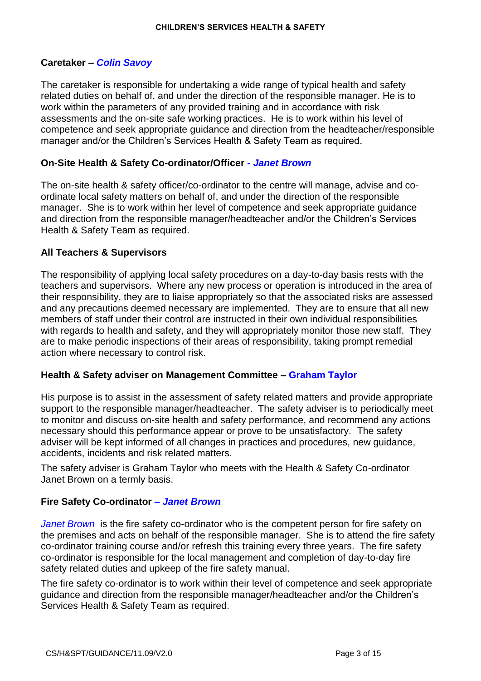# **Caretaker –** *Colin Savoy*

The caretaker is responsible for undertaking a wide range of typical health and safety related duties on behalf of, and under the direction of the responsible manager. He is to work within the parameters of any provided training and in accordance with risk assessments and the on-site safe working practices. He is to work within his level of competence and seek appropriate guidance and direction from the headteacher/responsible manager and/or the Children's Services Health & Safety Team as required.

# **On-Site Health & Safety Co-ordinator/Officer** *- Janet Brown*

The on-site health & safety officer/co-ordinator to the centre will manage, advise and coordinate local safety matters on behalf of, and under the direction of the responsible manager. She is to work within her level of competence and seek appropriate guidance and direction from the responsible manager/headteacher and/or the Children's Services Health & Safety Team as required.

# **All Teachers & Supervisors**

The responsibility of applying local safety procedures on a day-to-day basis rests with the teachers and supervisors. Where any new process or operation is introduced in the area of their responsibility, they are to liaise appropriately so that the associated risks are assessed and any precautions deemed necessary are implemented. They are to ensure that all new members of staff under their control are instructed in their own individual responsibilities with regards to health and safety, and they will appropriately monitor those new staff. They are to make periodic inspections of their areas of responsibility, taking prompt remedial action where necessary to control risk.

# **Health & Safety adviser on Management Committee – Graham Taylor**

His purpose is to assist in the assessment of safety related matters and provide appropriate support to the responsible manager/headteacher. The safety adviser is to periodically meet to monitor and discuss on-site health and safety performance, and recommend any actions necessary should this performance appear or prove to be unsatisfactory. The safety adviser will be kept informed of all changes in practices and procedures, new guidance, accidents, incidents and risk related matters.

The safety adviser is Graham Taylor who meets with the Health & Safety Co-ordinator Janet Brown on a termly basis.

# **Fire Safety Co-ordinator** *– Janet Brown*

*Janet Brown* is the fire safety co-ordinator who is the competent person for fire safety on the premises and acts on behalf of the responsible manager. She is to attend the fire safety co-ordinator training course and/or refresh this training every three years. The fire safety co-ordinator is responsible for the local management and completion of day-to-day fire safety related duties and upkeep of the fire safety manual.

The fire safety co-ordinator is to work within their level of competence and seek appropriate guidance and direction from the responsible manager/headteacher and/or the Children's Services Health & Safety Team as required.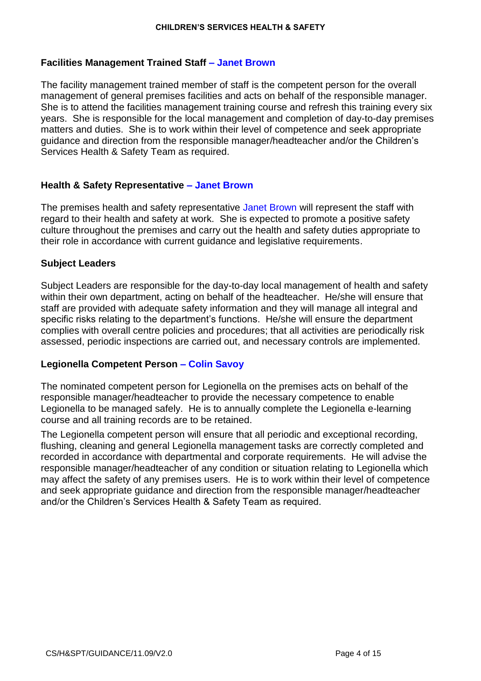# **Facilities Management Trained Staff – Janet Brown**

The facility management trained member of staff is the competent person for the overall management of general premises facilities and acts on behalf of the responsible manager. She is to attend the facilities management training course and refresh this training every six years. She is responsible for the local management and completion of day-to-day premises matters and duties. She is to work within their level of competence and seek appropriate guidance and direction from the responsible manager/headteacher and/or the Children's Services Health & Safety Team as required.

# **Health & Safety Representative – Janet Brown**

The premises health and safety representative Janet Brown will represent the staff with regard to their health and safety at work. She is expected to promote a positive safety culture throughout the premises and carry out the health and safety duties appropriate to their role in accordance with current guidance and legislative requirements.

#### **Subject Leaders**

Subject Leaders are responsible for the day-to-day local management of health and safety within their own department, acting on behalf of the headteacher. He/she will ensure that staff are provided with adequate safety information and they will manage all integral and specific risks relating to the department's functions. He/she will ensure the department complies with overall centre policies and procedures; that all activities are periodically risk assessed, periodic inspections are carried out, and necessary controls are implemented.

# **Legionella Competent Person – Colin Savoy**

The nominated competent person for Legionella on the premises acts on behalf of the responsible manager/headteacher to provide the necessary competence to enable Legionella to be managed safely. He is to annually complete the Legionella e-learning course and all training records are to be retained.

The Legionella competent person will ensure that all periodic and exceptional recording, flushing, cleaning and general Legionella management tasks are correctly completed and recorded in accordance with departmental and corporate requirements. He will advise the responsible manager/headteacher of any condition or situation relating to Legionella which may affect the safety of any premises users. He is to work within their level of competence and seek appropriate guidance and direction from the responsible manager/headteacher and/or the Children's Services Health & Safety Team as required.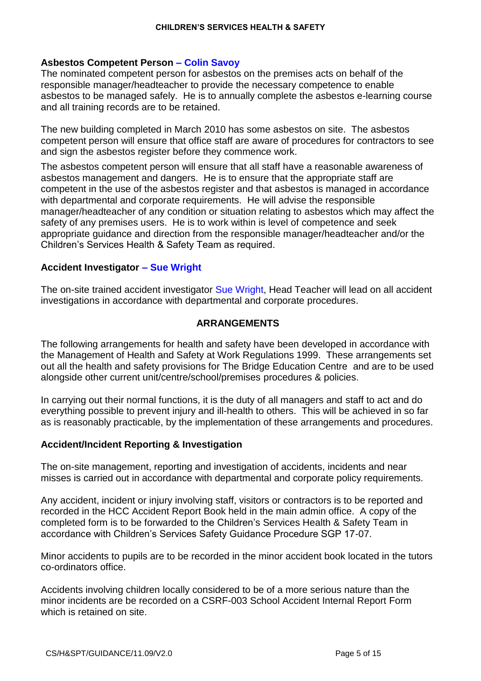# **Asbestos Competent Person – Colin Savoy**

The nominated competent person for asbestos on the premises acts on behalf of the responsible manager/headteacher to provide the necessary competence to enable asbestos to be managed safely. He is to annually complete the asbestos e-learning course and all training records are to be retained.

The new building completed in March 2010 has some asbestos on site. The asbestos competent person will ensure that office staff are aware of procedures for contractors to see and sign the asbestos register before they commence work.

The asbestos competent person will ensure that all staff have a reasonable awareness of asbestos management and dangers. He is to ensure that the appropriate staff are competent in the use of the asbestos register and that asbestos is managed in accordance with departmental and corporate requirements. He will advise the responsible manager/headteacher of any condition or situation relating to asbestos which may affect the safety of any premises users. He is to work within is level of competence and seek appropriate guidance and direction from the responsible manager/headteacher and/or the Children's Services Health & Safety Team as required.

# **Accident Investigator – Sue Wright**

The on-site trained accident investigator Sue Wright, Head Teacher will lead on all accident investigations in accordance with departmental and corporate procedures.

# **ARRANGEMENTS**

The following arrangements for health and safety have been developed in accordance with the Management of Health and Safety at Work Regulations 1999. These arrangements set out all the health and safety provisions for The Bridge Education Centre and are to be used alongside other current unit/centre/school/premises procedures & policies.

In carrying out their normal functions, it is the duty of all managers and staff to act and do everything possible to prevent injury and ill-health to others. This will be achieved in so far as is reasonably practicable, by the implementation of these arrangements and procedures.

# **Accident/Incident Reporting & Investigation**

The on-site management, reporting and investigation of accidents, incidents and near misses is carried out in accordance with departmental and corporate policy requirements.

Any accident, incident or injury involving staff, visitors or contractors is to be reported and recorded in the HCC Accident Report Book held in the main admin office. A copy of the completed form is to be forwarded to the Children's Services Health & Safety Team in accordance with Children's Services Safety Guidance Procedure SGP 17-07.

Minor accidents to pupils are to be recorded in the minor accident book located in the tutors co-ordinators office.

Accidents involving children locally considered to be of a more serious nature than the minor incidents are be recorded on a CSRF-003 School Accident Internal Report Form which is retained on site.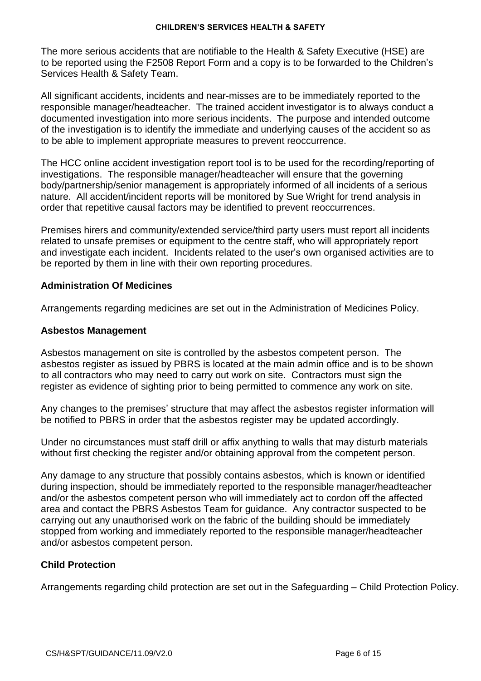The more serious accidents that are notifiable to the Health & Safety Executive (HSE) are to be reported using the F2508 Report Form and a copy is to be forwarded to the Children's Services Health & Safety Team.

All significant accidents, incidents and near-misses are to be immediately reported to the responsible manager/headteacher. The trained accident investigator is to always conduct a documented investigation into more serious incidents. The purpose and intended outcome of the investigation is to identify the immediate and underlying causes of the accident so as to be able to implement appropriate measures to prevent reoccurrence.

The HCC online accident investigation report tool is to be used for the recording/reporting of investigations. The responsible manager/headteacher will ensure that the governing body/partnership/senior management is appropriately informed of all incidents of a serious nature. All accident/incident reports will be monitored by Sue Wright for trend analysis in order that repetitive causal factors may be identified to prevent reoccurrences.

Premises hirers and community/extended service/third party users must report all incidents related to unsafe premises or equipment to the centre staff, who will appropriately report and investigate each incident. Incidents related to the user's own organised activities are to be reported by them in line with their own reporting procedures.

#### **Administration Of Medicines**

Arrangements regarding medicines are set out in the Administration of Medicines Policy.

#### **Asbestos Management**

Asbestos management on site is controlled by the asbestos competent person. The asbestos register as issued by PBRS is located at the main admin office and is to be shown to all contractors who may need to carry out work on site. Contractors must sign the register as evidence of sighting prior to being permitted to commence any work on site.

Any changes to the premises' structure that may affect the asbestos register information will be notified to PBRS in order that the asbestos register may be updated accordingly.

Under no circumstances must staff drill or affix anything to walls that may disturb materials without first checking the register and/or obtaining approval from the competent person.

Any damage to any structure that possibly contains asbestos, which is known or identified during inspection, should be immediately reported to the responsible manager/headteacher and/or the asbestos competent person who will immediately act to cordon off the affected area and contact the PBRS Asbestos Team for guidance. Any contractor suspected to be carrying out any unauthorised work on the fabric of the building should be immediately stopped from working and immediately reported to the responsible manager/headteacher and/or asbestos competent person.

# **Child Protection**

Arrangements regarding child protection are set out in the Safeguarding – Child Protection Policy.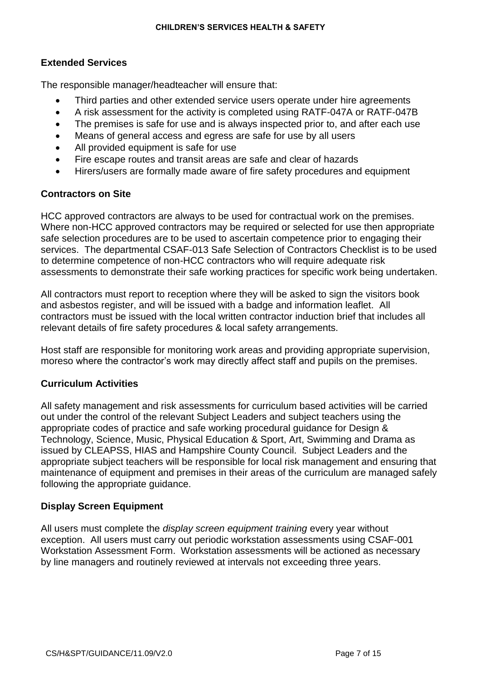# **Extended Services**

The responsible manager/headteacher will ensure that:

- Third parties and other extended service users operate under hire agreements
- A risk assessment for the activity is completed using RATF-047A or RATF-047B
- The premises is safe for use and is always inspected prior to, and after each use
- Means of general access and egress are safe for use by all users
- All provided equipment is safe for use
- Fire escape routes and transit areas are safe and clear of hazards
- Hirers/users are formally made aware of fire safety procedures and equipment

# **Contractors on Site**

HCC approved contractors are always to be used for contractual work on the premises. Where non-HCC approved contractors may be required or selected for use then appropriate safe selection procedures are to be used to ascertain competence prior to engaging their services. The departmental CSAF-013 Safe Selection of Contractors Checklist is to be used to determine competence of non-HCC contractors who will require adequate risk assessments to demonstrate their safe working practices for specific work being undertaken.

All contractors must report to reception where they will be asked to sign the visitors book and asbestos register, and will be issued with a badge and information leaflet. All contractors must be issued with the local written contractor induction brief that includes all relevant details of fire safety procedures & local safety arrangements.

Host staff are responsible for monitoring work areas and providing appropriate supervision, moreso where the contractor's work may directly affect staff and pupils on the premises.

# **Curriculum Activities**

All safety management and risk assessments for curriculum based activities will be carried out under the control of the relevant Subject Leaders and subject teachers using the appropriate codes of practice and safe working procedural guidance for Design & Technology, Science, Music, Physical Education & Sport, Art, Swimming and Drama as issued by CLEAPSS, HIAS and Hampshire County Council. Subject Leaders and the appropriate subject teachers will be responsible for local risk management and ensuring that maintenance of equipment and premises in their areas of the curriculum are managed safely following the appropriate guidance.

# **Display Screen Equipment**

All users must complete the *display screen equipment training* every year without exception. All users must carry out periodic workstation assessments using CSAF-001 Workstation Assessment Form. Workstation assessments will be actioned as necessary by line managers and routinely reviewed at intervals not exceeding three years.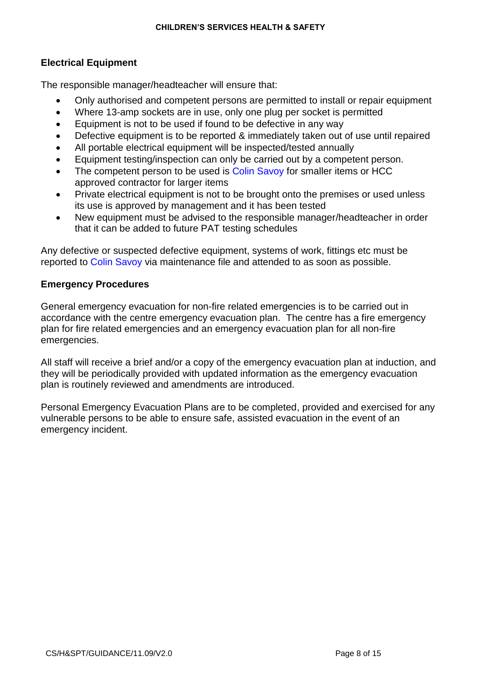# **Electrical Equipment**

The responsible manager/headteacher will ensure that:

- Only authorised and competent persons are permitted to install or repair equipment
- Where 13-amp sockets are in use, only one plug per socket is permitted
- Equipment is not to be used if found to be defective in any way
- Defective equipment is to be reported & immediately taken out of use until repaired
- All portable electrical equipment will be inspected/tested annually
- Equipment testing/inspection can only be carried out by a competent person.
- The competent person to be used is Colin Savoy for smaller items or HCC approved contractor for larger items
- Private electrical equipment is not to be brought onto the premises or used unless its use is approved by management and it has been tested
- New equipment must be advised to the responsible manager/headteacher in order that it can be added to future PAT testing schedules

Any defective or suspected defective equipment, systems of work, fittings etc must be reported to Colin Savoy via maintenance file and attended to as soon as possible.

# **Emergency Procedures**

General emergency evacuation for non-fire related emergencies is to be carried out in accordance with the centre emergency evacuation plan. The centre has a fire emergency plan for fire related emergencies and an emergency evacuation plan for all non-fire emergencies.

All staff will receive a brief and/or a copy of the emergency evacuation plan at induction, and they will be periodically provided with updated information as the emergency evacuation plan is routinely reviewed and amendments are introduced.

Personal Emergency Evacuation Plans are to be completed, provided and exercised for any vulnerable persons to be able to ensure safe, assisted evacuation in the event of an emergency incident.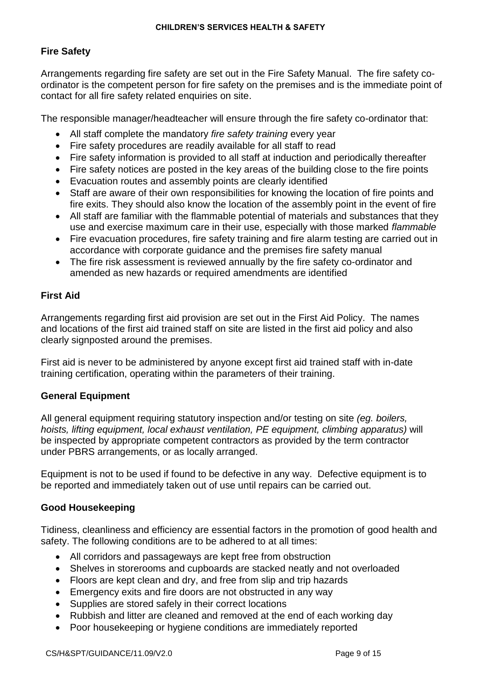# **Fire Safety**

Arrangements regarding fire safety are set out in the Fire Safety Manual. The fire safety coordinator is the competent person for fire safety on the premises and is the immediate point of contact for all fire safety related enquiries on site.

The responsible manager/headteacher will ensure through the fire safety co-ordinator that:

- All staff complete the mandatory *fire safety training* every year
- Fire safety procedures are readily available for all staff to read
- Fire safety information is provided to all staff at induction and periodically thereafter
- Fire safety notices are posted in the key areas of the building close to the fire points
- Evacuation routes and assembly points are clearly identified
- Staff are aware of their own responsibilities for knowing the location of fire points and fire exits. They should also know the location of the assembly point in the event of fire
- All staff are familiar with the flammable potential of materials and substances that they use and exercise maximum care in their use, especially with those marked *flammable*
- Fire evacuation procedures, fire safety training and fire alarm testing are carried out in accordance with corporate guidance and the premises fire safety manual
- The fire risk assessment is reviewed annually by the fire safety co-ordinator and amended as new hazards or required amendments are identified

#### **First Aid**

Arrangements regarding first aid provision are set out in the First Aid Policy. The names and locations of the first aid trained staff on site are listed in the first aid policy and also clearly signposted around the premises.

First aid is never to be administered by anyone except first aid trained staff with in-date training certification, operating within the parameters of their training.

#### **General Equipment**

All general equipment requiring statutory inspection and/or testing on site *(eg. boilers, hoists, lifting equipment, local exhaust ventilation, PE equipment, climbing apparatus)* will be inspected by appropriate competent contractors as provided by the term contractor under PBRS arrangements, or as locally arranged.

Equipment is not to be used if found to be defective in any way. Defective equipment is to be reported and immediately taken out of use until repairs can be carried out.

#### **Good Housekeeping**

Tidiness, cleanliness and efficiency are essential factors in the promotion of good health and safety. The following conditions are to be adhered to at all times:

- All corridors and passageways are kept free from obstruction
- Shelves in storerooms and cupboards are stacked neatly and not overloaded
- Floors are kept clean and dry, and free from slip and trip hazards
- Emergency exits and fire doors are not obstructed in any way
- Supplies are stored safely in their correct locations
- Rubbish and litter are cleaned and removed at the end of each working day
- Poor housekeeping or hygiene conditions are immediately reported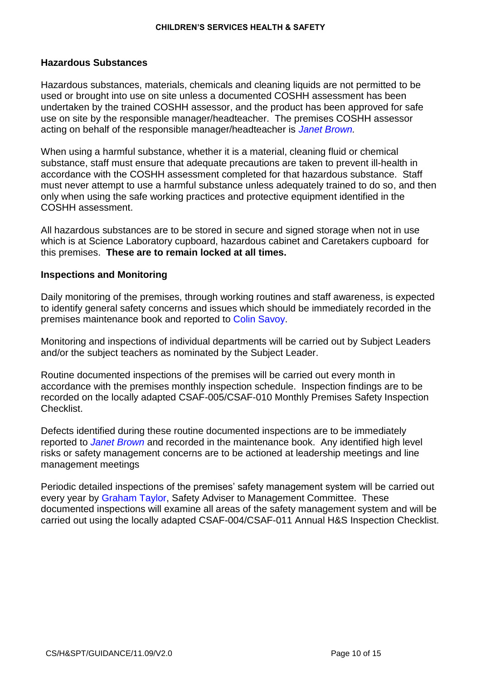#### **Hazardous Substances**

Hazardous substances, materials, chemicals and cleaning liquids are not permitted to be used or brought into use on site unless a documented COSHH assessment has been undertaken by the trained COSHH assessor, and the product has been approved for safe use on site by the responsible manager/headteacher. The premises COSHH assessor acting on behalf of the responsible manager/headteacher is *Janet Brown.*

When using a harmful substance, whether it is a material, cleaning fluid or chemical substance, staff must ensure that adequate precautions are taken to prevent ill-health in accordance with the COSHH assessment completed for that hazardous substance. Staff must never attempt to use a harmful substance unless adequately trained to do so, and then only when using the safe working practices and protective equipment identified in the COSHH assessment.

All hazardous substances are to be stored in secure and signed storage when not in use which is at Science Laboratory cupboard, hazardous cabinet and Caretakers cupboard for this premises. **These are to remain locked at all times.**

#### **Inspections and Monitoring**

Daily monitoring of the premises, through working routines and staff awareness, is expected to identify general safety concerns and issues which should be immediately recorded in the premises maintenance book and reported to Colin Savoy.

Monitoring and inspections of individual departments will be carried out by Subject Leaders and/or the subject teachers as nominated by the Subject Leader.

Routine documented inspections of the premises will be carried out every month in accordance with the premises monthly inspection schedule. Inspection findings are to be recorded on the locally adapted CSAF-005/CSAF-010 Monthly Premises Safety Inspection Checklist.

Defects identified during these routine documented inspections are to be immediately reported to *Janet Brown* and recorded in the maintenance book. Any identified high level risks or safety management concerns are to be actioned at leadership meetings and line management meetings

Periodic detailed inspections of the premises' safety management system will be carried out every year by Graham Taylor, Safety Adviser to Management Committee. These documented inspections will examine all areas of the safety management system and will be carried out using the locally adapted CSAF-004/CSAF-011 Annual H&S Inspection Checklist.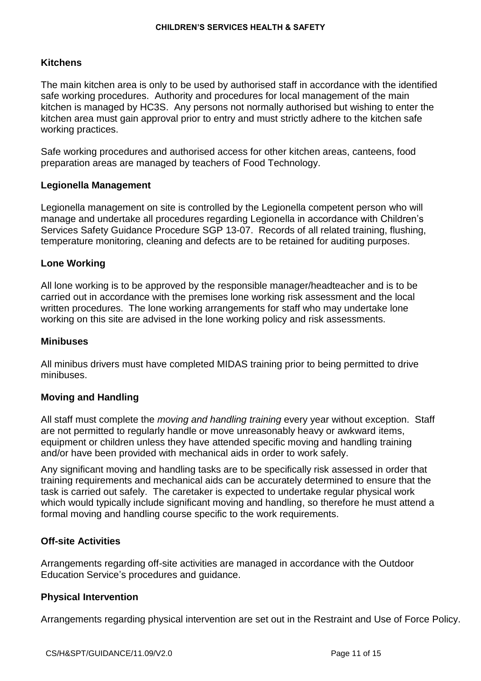# **Kitchens**

The main kitchen area is only to be used by authorised staff in accordance with the identified safe working procedures. Authority and procedures for local management of the main kitchen is managed by HC3S. Any persons not normally authorised but wishing to enter the kitchen area must gain approval prior to entry and must strictly adhere to the kitchen safe working practices.

Safe working procedures and authorised access for other kitchen areas, canteens, food preparation areas are managed by teachers of Food Technology.

# **Legionella Management**

Legionella management on site is controlled by the Legionella competent person who will manage and undertake all procedures regarding Legionella in accordance with Children's Services Safety Guidance Procedure SGP 13-07. Records of all related training, flushing, temperature monitoring, cleaning and defects are to be retained for auditing purposes.

#### **Lone Working**

All lone working is to be approved by the responsible manager/headteacher and is to be carried out in accordance with the premises lone working risk assessment and the local written procedures. The lone working arrangements for staff who may undertake lone working on this site are advised in the lone working policy and risk assessments.

#### **Minibuses**

All minibus drivers must have completed MIDAS training prior to being permitted to drive minibuses.

# **Moving and Handling**

All staff must complete the *moving and handling training* every year without exception. Staff are not permitted to regularly handle or move unreasonably heavy or awkward items, equipment or children unless they have attended specific moving and handling training and/or have been provided with mechanical aids in order to work safely.

Any significant moving and handling tasks are to be specifically risk assessed in order that training requirements and mechanical aids can be accurately determined to ensure that the task is carried out safely. The caretaker is expected to undertake regular physical work which would typically include significant moving and handling, so therefore he must attend a formal moving and handling course specific to the work requirements.

# **Off-site Activities**

Arrangements regarding off-site activities are managed in accordance with the Outdoor Education Service's procedures and guidance.

#### **Physical Intervention**

Arrangements regarding physical intervention are set out in the Restraint and Use of Force Policy.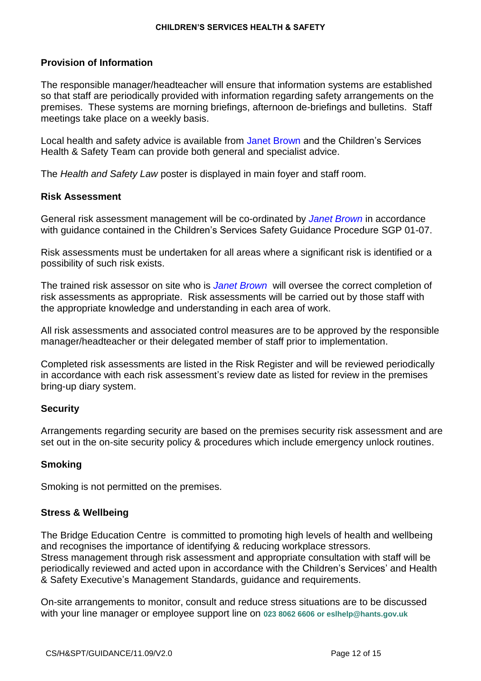# **Provision of Information**

The responsible manager/headteacher will ensure that information systems are established so that staff are periodically provided with information regarding safety arrangements on the premises. These systems are morning briefings, afternoon de-briefings and bulletins. Staff meetings take place on a weekly basis.

Local health and safety advice is available from Janet Brown and the Children's Services Health & Safety Team can provide both general and specialist advice.

The *Health and Safety Law* poster is displayed in main foyer and staff room.

#### **Risk Assessment**

General risk assessment management will be co-ordinated by *Janet Brown* in accordance with guidance contained in the Children's Services Safety Guidance Procedure SGP 01-07.

Risk assessments must be undertaken for all areas where a significant risk is identified or a possibility of such risk exists.

The trained risk assessor on site who is *Janet Brown* will oversee the correct completion of risk assessments as appropriate. Risk assessments will be carried out by those staff with the appropriate knowledge and understanding in each area of work.

All risk assessments and associated control measures are to be approved by the responsible manager/headteacher or their delegated member of staff prior to implementation.

Completed risk assessments are listed in the Risk Register and will be reviewed periodically in accordance with each risk assessment's review date as listed for review in the premises bring-up diary system.

# **Security**

Arrangements regarding security are based on the premises security risk assessment and are set out in the on-site security policy & procedures which include emergency unlock routines.

# **Smoking**

Smoking is not permitted on the premises.

# **Stress & Wellbeing**

The Bridge Education Centre is committed to promoting high levels of health and wellbeing and recognises the importance of identifying & reducing workplace stressors. Stress management through risk assessment and appropriate consultation with staff will be periodically reviewed and acted upon in accordance with the Children's Services' and Health & Safety Executive's Management Standards, guidance and requirements.

On-site arrangements to monitor, consult and reduce stress situations are to be discussed with your line manager or employee support line on **023 8062 6606 or eslhelp@hants.gov.uk**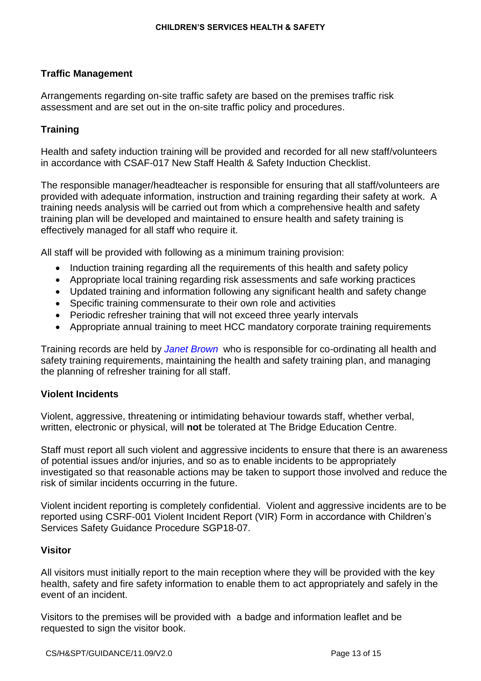# **Traffic Management**

Arrangements regarding on-site traffic safety are based on the premises traffic risk assessment and are set out in the on-site traffic policy and procedures.

# **Training**

Health and safety induction training will be provided and recorded for all new staff/volunteers in accordance with CSAF-017 New Staff Health & Safety Induction Checklist.

The responsible manager/headteacher is responsible for ensuring that all staff/volunteers are provided with adequate information, instruction and training regarding their safety at work. A training needs analysis will be carried out from which a comprehensive health and safety training plan will be developed and maintained to ensure health and safety training is effectively managed for all staff who require it.

All staff will be provided with following as a minimum training provision:

- Induction training regarding all the requirements of this health and safety policy
- Appropriate local training regarding risk assessments and safe working practices
- Updated training and information following any significant health and safety change
- Specific training commensurate to their own role and activities
- Periodic refresher training that will not exceed three yearly intervals
- Appropriate annual training to meet HCC mandatory corporate training requirements

Training records are held by *Janet Brown* who is responsible for co-ordinating all health and safety training requirements, maintaining the health and safety training plan, and managing the planning of refresher training for all staff.

# **Violent Incidents**

Violent, aggressive, threatening or intimidating behaviour towards staff, whether verbal, written, electronic or physical, will **not** be tolerated at The Bridge Education Centre.

Staff must report all such violent and aggressive incidents to ensure that there is an awareness of potential issues and/or injuries, and so as to enable incidents to be appropriately investigated so that reasonable actions may be taken to support those involved and reduce the risk of similar incidents occurring in the future.

Violent incident reporting is completely confidential. Violent and aggressive incidents are to be reported using CSRF-001 Violent Incident Report (VIR) Form in accordance with Children's Services Safety Guidance Procedure SGP18-07.

#### **Visitor**

All visitors must initially report to the main reception where they will be provided with the key health, safety and fire safety information to enable them to act appropriately and safely in the event of an incident.

Visitors to the premises will be provided with a badge and information leaflet and be requested to sign the visitor book.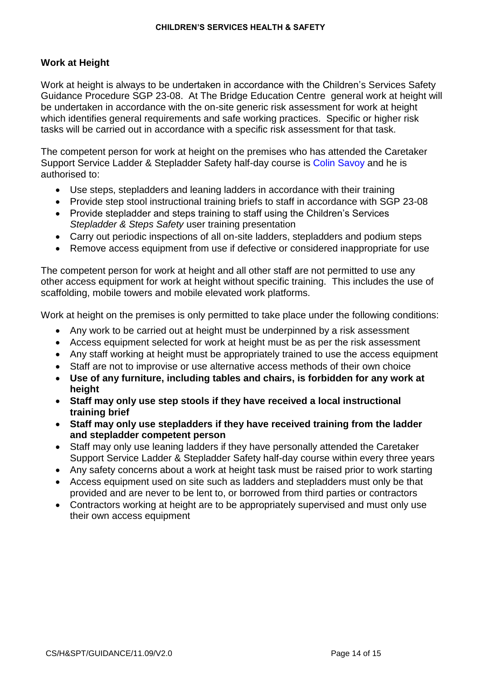# **Work at Height**

Work at height is always to be undertaken in accordance with the Children's Services Safety Guidance Procedure SGP 23-08. At The Bridge Education Centre general work at height will be undertaken in accordance with the on-site generic risk assessment for work at height which identifies general requirements and safe working practices. Specific or higher risk tasks will be carried out in accordance with a specific risk assessment for that task.

The competent person for work at height on the premises who has attended the Caretaker Support Service Ladder & Stepladder Safety half-day course is Colin Savoy and he is authorised to:

- Use steps, stepladders and leaning ladders in accordance with their training
- Provide step stool instructional training briefs to staff in accordance with SGP 23-08
- Provide stepladder and steps training to staff using the Children's Services *Stepladder & Steps Safety* user training presentation
- Carry out periodic inspections of all on-site ladders, stepladders and podium steps
- Remove access equipment from use if defective or considered inappropriate for use

The competent person for work at height and all other staff are not permitted to use any other access equipment for work at height without specific training. This includes the use of scaffolding, mobile towers and mobile elevated work platforms.

Work at height on the premises is only permitted to take place under the following conditions:

- Any work to be carried out at height must be underpinned by a risk assessment
- Access equipment selected for work at height must be as per the risk assessment
- Any staff working at height must be appropriately trained to use the access equipment
- Staff are not to improvise or use alternative access methods of their own choice
- **Use of any furniture, including tables and chairs, is forbidden for any work at height**
- **Staff may only use step stools if they have received a local instructional training brief**
- **Staff may only use stepladders if they have received training from the ladder and stepladder competent person**
- Staff may only use leaning ladders if they have personally attended the Caretaker Support Service Ladder & Stepladder Safety half-day course within every three years
- Any safety concerns about a work at height task must be raised prior to work starting
- Access equipment used on site such as ladders and stepladders must only be that provided and are never to be lent to, or borrowed from third parties or contractors
- Contractors working at height are to be appropriately supervised and must only use their own access equipment